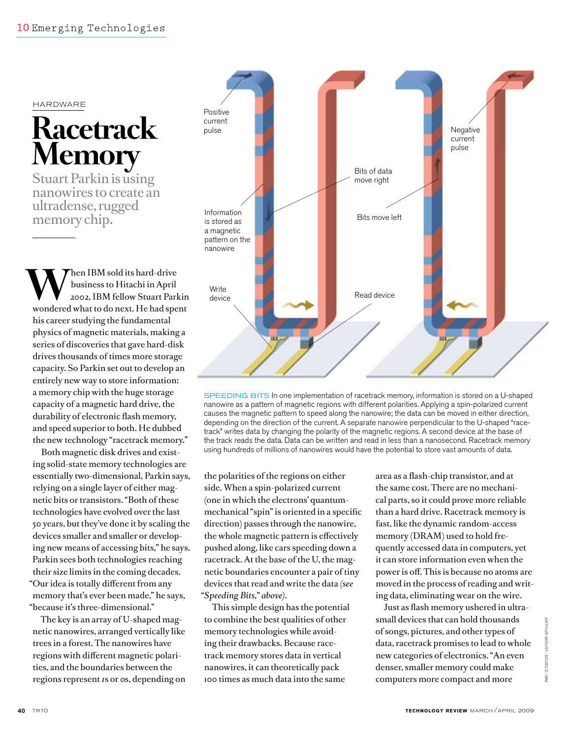## hardware

## **Racetrack Memory**

Stuart Parkin is using nanowires to create an ultradense, rugged memory chip.

**WARE ARE IBM** sold its hard-drive<br>
2002, IBM fellow Stuart Parkin<br>
2002, IBM fellow Stuart Parkin business to Hitachi in April wondered what to do next. He had spent his career studying the fundamental physics of magnetic materials, making a series of discoveries that gave hard-disk drives thousands of times more storage capacity. So Parkin set out to develop an entirely new way to store information: a memory chip with the huge storage capacity of a magnetic hard drive, the durability of electronic flash memory, and speed superior to both. He dubbed the new technology "racetrack memory."

Both magnetic disk drives and existing solid-state memory technologies are essentially two-dimensional, Parkin says, relying on a single layer of either magnetic bits or transistors. "Both of these technologies have evolved over the last 50 years, but they've done it by scaling the devices smaller and smaller or developing new means of accessing bits," he says. Parkin sees both technologies reaching their size limits in the coming decades. "Our idea is totally different from any memory that's ever been made," he says, "because it's three-dimensional."

The key is an array of U-shaped magnetic nanowires, arranged vertically like trees in a forest. The nanowires have regions with different magnetic polarities, and the boundaries between the regions represent *1*s or *0*s, depending on



SPEEDING BITS In one implementation of racetrack memory, information is stored on a U-shaped nanowire as a pattern of magnetic regions with different polarities. Applying a spin-polarized current causes the magnetic pattern to speed along the nanowire; the data can be moved in either direction, depending on the direction of the current. A separate nanowire perpendicular to the U-shaped "racetrack" writes data by changing the polarity of the magnetic regions. A second device at the base of the track reads the data. Data can be written and read in less than a nanosecond. Racetrack memory using hundreds of millions of nanowires would have the potential to store vast amounts of data.

the polarities of the regions on either side. When a spin-polarized current (one in which the electrons' quantummechanical "spin" is oriented in a specific direction) passes through the nanowire, the whole magnetic pattern is effectively pushed along, like cars speeding down a racetrack. At the base of the U, the magnetic boundaries encounter a pair of tiny devices that read and write the data *(see "Speeding Bits," above)*.

This simple design has the potential to combine the best qualities of other memory technologies while avoiding their drawbacks. Because racetrack memory stores data in vertical nanowires, it can theoretically pack 100 times as much data into the same

area as a flash-chip transistor, and at the same cost. There are no mechanical parts, so it could prove more reliable than a hard drive. Racetrack memory is fast, like the dynamic random-access memory (DRAM) used to hold frequently accessed data in computers, yet it can store information even when the power is off. This is because no atoms are moved in the process of reading and writing data, eliminating wear on the wire.

Just as flash memory ushered in ultrasmall devices that can hold thousands of songs, pictures, and other types of data, racetrack promises to lead to whole new categories of electronics. "An even denser, smaller memory could make computers more compact and more